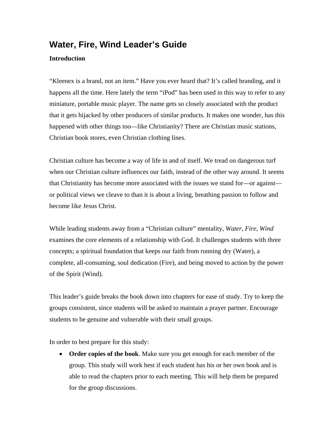# **Water, Fire, Wind Leader's Guide**

#### **Introduction**

"Kleenex is a brand, not an item." Have you ever heard that? It's called branding, and it happens all the time. Here lately the term "iPod" has been used in this way to refer to any miniature, portable music player. The name gets so closely associated with the product that it gets hijacked by other producers of similar products. It makes one wonder, has this happened with other things too—like Christianity? There are Christian music stations, Christian book stores, even Christian clothing lines.

Christian culture has become a way of life in and of itself. We tread on dangerous turf when our Christian culture influences our faith, instead of the other way around. It seems that Christianity has become more associated with the issues we stand for—or against or political views we cleave to than it is about a living, breathing passion to follow and become like Jesus Christ.

While leading students away from a "Christian culture" mentality, *Water, Fire, Wind* examines the core elements of a relationship with God. It challenges students with three concepts; a spiritual foundation that keeps our faith from running dry (Water), a complete, all-consuming, soul dedication (Fire), and being moved to action by the power of the Spirit (Wind).

This leader's guide breaks the book down into chapters for ease of study. Try to keep the groups consistent, since students will be asked to maintain a prayer partner. Encourage students to be genuine and vulnerable with their small groups.

In order to best prepare for this study:

• **Order copies of the book**. Make sure you get enough for each member of the group. This study will work best if each student has his or her own book and is able to read the chapters prior to each meeting. This will help them be prepared for the group discussions.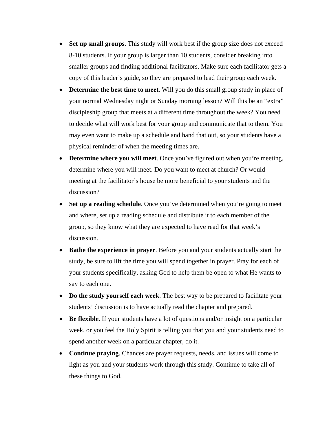- **Set up small groups**. This study will work best if the group size does not exceed 8-10 students. If your group is larger than 10 students, consider breaking into smaller groups and finding additional facilitators. Make sure each facilitator gets a copy of this leader's guide, so they are prepared to lead their group each week.
- **Determine the best time to meet**. Will you do this small group study in place of your normal Wednesday night or Sunday morning lesson? Will this be an "extra" discipleship group that meets at a different time throughout the week? You need to decide what will work best for your group and communicate that to them. You may even want to make up a schedule and hand that out, so your students have a physical reminder of when the meeting times are.
- **Determine where you will meet**. Once you've figured out when you're meeting, determine where you will meet. Do you want to meet at church? Or would meeting at the facilitator's house be more beneficial to your students and the discussion?
- Set up a reading schedule. Once you've determined when you're going to meet and where, set up a reading schedule and distribute it to each member of the group, so they know what they are expected to have read for that week's discussion.
- **Bathe the experience in prayer**. Before you and your students actually start the study, be sure to lift the time you will spend together in prayer. Pray for each of your students specifically, asking God to help them be open to what He wants to say to each one.
- **Do the study yourself each week**. The best way to be prepared to facilitate your students' discussion is to have actually read the chapter and prepared.
- **Be flexible**. If your students have a lot of questions and/or insight on a particular week, or you feel the Holy Spirit is telling you that you and your students need to spend another week on a particular chapter, do it.
- **Continue praying**. Chances are prayer requests, needs, and issues will come to light as you and your students work through this study. Continue to take all of these things to God.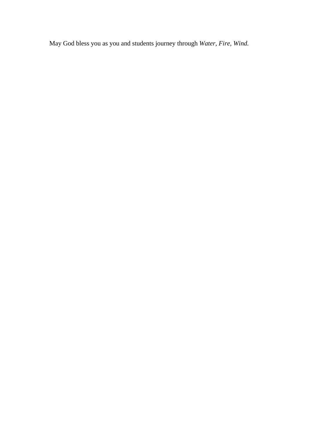May God bless you as you and students journey through *Water, Fire, Wind.*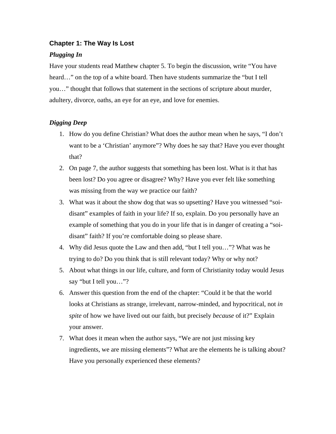#### **Chapter 1: The Way Is Lost**

#### *Plugging In*

Have your students read Matthew chapter 5. To begin the discussion, write "You have heard…" on the top of a white board. Then have students summarize the "but I tell you…" thought that follows that statement in the sections of scripture about murder, adultery, divorce, oaths, an eye for an eye, and love for enemies.

- 1. How do you define Christian? What does the author mean when he says, "I don't want to be a 'Christian' anymore"? Why does he say that? Have you ever thought that?
- 2. On page 7, the author suggests that something has been lost. What is it that has been lost? Do you agree or disagree? Why? Have you ever felt like something was missing from the way we practice our faith?
- 3. What was it about the show dog that was so upsetting? Have you witnessed "soidisant" examples of faith in your life? If so, explain. Do you personally have an example of something that you do in your life that is in danger of creating a "soidisant" faith? If you're comfortable doing so please share.
- 4. Why did Jesus quote the Law and then add, "but I tell you…"? What was he trying to do? Do you think that is still relevant today? Why or why not?
- 5. About what things in our life, culture, and form of Christianity today would Jesus say "but I tell you…"?
- 6. Answer this question from the end of the chapter: "Could it be that the world looks at Christians as strange, irrelevant, narrow-minded, and hypocritical, not *in spite* of how we have lived out our faith, but precisely *because* of it?" Explain your answer.
- 7. What does it mean when the author says, "We are not just missing key ingredients, we are missing elements"? What are the elements he is talking about? Have you personally experienced these elements?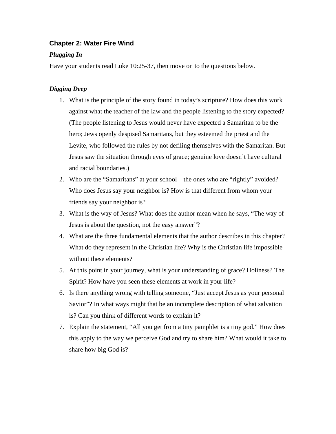## **Chapter 2: Water Fire Wind**

## *Plugging In*

Have your students read Luke 10:25-37, then move on to the questions below.

- 1. What is the principle of the story found in today's scripture? How does this work against what the teacher of the law and the people listening to the story expected? (The people listening to Jesus would never have expected a Samaritan to be the hero; Jews openly despised Samaritans, but they esteemed the priest and the Levite, who followed the rules by not defiling themselves with the Samaritan. But Jesus saw the situation through eyes of grace; genuine love doesn't have cultural and racial boundaries.)
- 2. Who are the "Samaritans" at your school—the ones who are "rightly" avoided? Who does Jesus say your neighbor is? How is that different from whom your friends say your neighbor is?
- 3. What is the way of Jesus? What does the author mean when he says, "The way of Jesus is about the question, not the easy answer"?
- 4. What are the three fundamental elements that the author describes in this chapter? What do they represent in the Christian life? Why is the Christian life impossible without these elements?
- 5. At this point in your journey, what is your understanding of grace? Holiness? The Spirit? How have you seen these elements at work in your life?
- 6. Is there anything wrong with telling someone, "Just accept Jesus as your personal Savior"? In what ways might that be an incomplete description of what salvation is? Can you think of different words to explain it?
- 7. Explain the statement, "All you get from a tiny pamphlet is a tiny god." How does this apply to the way we perceive God and try to share him? What would it take to share how big God is?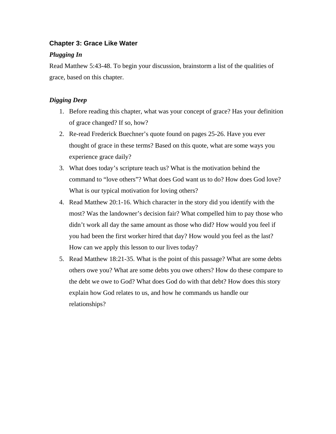## **Chapter 3: Grace Like Water**

## *Plugging In*

Read Matthew 5:43-48. To begin your discussion, brainstorm a list of the qualities of grace, based on this chapter.

- 1. Before reading this chapter, what was your concept of grace? Has your definition of grace changed? If so, how?
- 2. Re-read Frederick Buechner's quote found on pages 25-26. Have you ever thought of grace in these terms? Based on this quote, what are some ways you experience grace daily?
- 3. What does today's scripture teach us? What is the motivation behind the command to "love others"? What does God want us to do? How does God love? What is our typical motivation for loving others?
- 4. Read Matthew 20:1-16. Which character in the story did you identify with the most? Was the landowner's decision fair? What compelled him to pay those who didn't work all day the same amount as those who did? How would you feel if you had been the first worker hired that day? How would you feel as the last? How can we apply this lesson to our lives today?
- 5. Read Matthew 18:21-35. What is the point of this passage? What are some debts others owe you? What are some debts you owe others? How do these compare to the debt we owe to God? What does God do with that debt? How does this story explain how God relates to us, and how he commands us handle our relationships?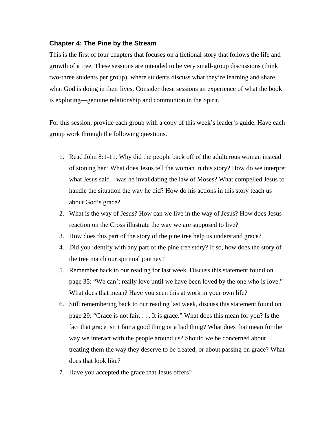#### **Chapter 4: The Pine by the Stream**

This is the first of four chapters that focuses on a fictional story that follows the life and growth of a tree. These sessions are intended to be very small-group discussions (think two-three students per group), where students discuss what they're learning and share what God is doing in their lives. Consider these sessions an experience of what the book is exploring—genuine relationship and communion in the Spirit.

For this session, provide each group with a copy of this week's leader's guide. Have each group work through the following questions.

- 1. Read John 8:1-11. Why did the people back off of the adulterous woman instead of stoning her? What does Jesus tell the woman in this story? How do we interpret what Jesus said—was he invalidating the law of Moses? What compelled Jesus to handle the situation the way he did? How do his actions in this story teach us about God's grace?
- 2. What is the way of Jesus? How can we live in the way of Jesus? How does Jesus reaction on the Cross illustrate the way we are supposed to live?
- 3. How does this part of the story of the pine tree help us understand grace?
- 4. Did you identify with any part of the pine tree story? If so, how does the story of the tree match our spiritual journey?
- 5. Remember back to our reading for last week. Discuss this statement found on page 35: "We can't really love until we have been loved by the one who is love." What does that mean? Have you seen this at work in your own life?
- 6. Still remembering back to our reading last week, discuss this statement found on page 29: "Grace is not fair. . . . It is grace." What does this mean for you? Is the fact that grace isn't fair a good thing or a bad thing? What does that mean for the way we interact with the people around us? Should we be concerned about treating them the way they deserve to be treated, or about passing on grace? What does that look like?
- 7. Have you accepted the grace that Jesus offers?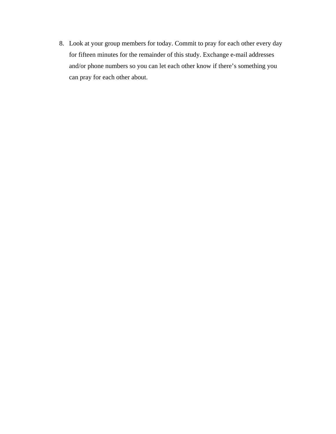8. Look at your group members for today. Commit to pray for each other every day for fifteen minutes for the remainder of this study. Exchange e-mail addresses and/or phone numbers so you can let each other know if there's something you can pray for each other about.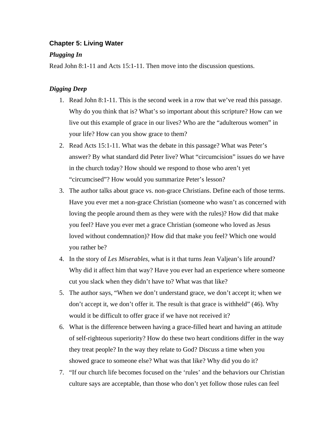## **Chapter 5: Living Water**

## *Plugging In*

Read John 8:1-11 and Acts 15:1-11. Then move into the discussion questions.

- 1. Read John 8:1-11. This is the second week in a row that we've read this passage. Why do you think that is? What's so important about this scripture? How can we live out this example of grace in our lives? Who are the "adulterous women" in your life? How can you show grace to them?
- 2. Read Acts 15:1-11. What was the debate in this passage? What was Peter's answer? By what standard did Peter live? What "circumcision" issues do we have in the church today? How should we respond to those who aren't yet "circumcised"? How would you summarize Peter's lesson?
- 3. The author talks about grace vs. non-grace Christians. Define each of those terms. Have you ever met a non-grace Christian (someone who wasn't as concerned with loving the people around them as they were with the rules)? How did that make you feel? Have you ever met a grace Christian (someone who loved as Jesus loved without condemnation)? How did that make you feel? Which one would you rather be?
- 4. In the story of *Les Miserables*, what is it that turns Jean Valjean's life around? Why did it affect him that way? Have you ever had an experience where someone cut you slack when they didn't have to? What was that like?
- 5. The author says, "When we don't understand grace, we don't accept it; when we don't accept it, we don't offer it. The result is that grace is withheld" (46). Why would it be difficult to offer grace if we have not received it?
- 6. What is the difference between having a grace-filled heart and having an attitude of self-righteous superiority? How do these two heart conditions differ in the way they treat people? In the way they relate to God? Discuss a time when you showed grace to someone else? What was that like? Why did you do it?
- 7. "If our church life becomes focused on the 'rules' and the behaviors our Christian culture says are acceptable, than those who don't yet follow those rules can feel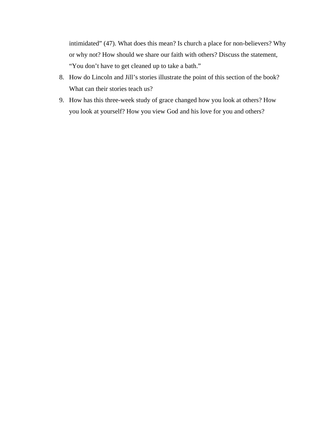intimidated" (47). What does this mean? Is church a place for non-believers? Why or why not? How should we share our faith with others? Discuss the statement, "You don't have to get cleaned up to take a bath."

- 8. How do Lincoln and Jill's stories illustrate the point of this section of the book? What can their stories teach us?
- 9. How has this three-week study of grace changed how you look at others? How you look at yourself? How you view God and his love for you and others?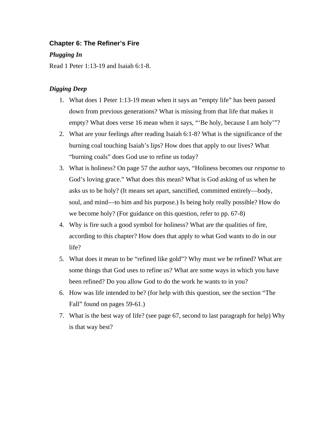## **Chapter 6: The Refiner's Fire**

#### *Plugging In*

Read 1 Peter 1:13-19 and Isaiah 6:1-8.

- 1. What does 1 Peter 1:13-19 mean when it says an "empty life" has been passed down from previous generations? What is missing from that life that makes it empty? What does verse 16 mean when it says, "Be holy, because I am holy"?
- 2. What are your feelings after reading Isaiah 6:1-8? What is the significance of the burning coal touching Isaiah's lips? How does that apply to our lives? What "burning coals" does God use to refine us today?
- 3. What is holiness? On page 57 the author says, "Holiness becomes our *response* to God's loving grace." What does this mean? What is God asking of us when he asks us to be holy? (It means set apart, sanctified, committed entirely—body, soul, and mind—to him and his purpose.) Is being holy really possible? How do we become holy? (For guidance on this question, refer to pp. 67-8)
- 4. Why is fire such a good symbol for holiness? What are the qualities of fire, according to this chapter? How does that apply to what God wants to do in our life?
- 5. What does it mean to be "refined like gold"? Why must we be refined? What are some things that God uses to refine us? What are some ways in which you have been refined? Do you allow God to do the work he wants to in you?
- 6. How was life intended to be? (for help with this question, see the section "The Fall" found on pages 59-61.)
- 7. What is the best way of life? (see page 67, second to last paragraph for help) Why is that way best?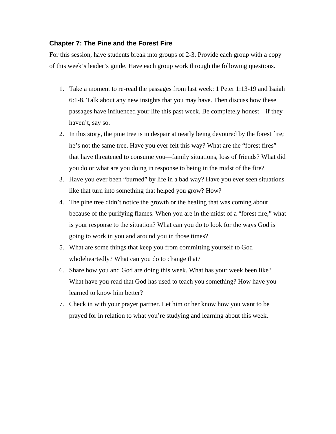#### **Chapter 7: The Pine and the Forest Fire**

For this session, have students break into groups of 2-3. Provide each group with a copy of this week's leader's guide. Have each group work through the following questions.

- 1. Take a moment to re-read the passages from last week: 1 Peter 1:13-19 and Isaiah 6:1-8. Talk about any new insights that you may have. Then discuss how these passages have influenced your life this past week. Be completely honest—if they haven't, say so.
- 2. In this story, the pine tree is in despair at nearly being devoured by the forest fire; he's not the same tree. Have you ever felt this way? What are the "forest fires" that have threatened to consume you—family situations, loss of friends? What did you do or what are you doing in response to being in the midst of the fire?
- 3. Have you ever been "burned" by life in a bad way? Have you ever seen situations like that turn into something that helped you grow? How?
- 4. The pine tree didn't notice the growth or the healing that was coming about because of the purifying flames. When you are in the midst of a "forest fire," what is your response to the situation? What can you do to look for the ways God is going to work in you and around you in those times?
- 5. What are some things that keep you from committing yourself to God wholeheartedly? What can you do to change that?
- 6. Share how you and God are doing this week. What has your week been like? What have you read that God has used to teach you something? How have you learned to know him better?
- 7. Check in with your prayer partner. Let him or her know how you want to be prayed for in relation to what you're studying and learning about this week.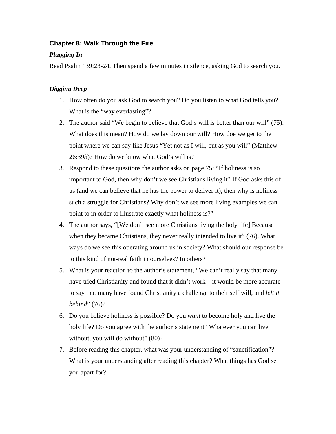## **Chapter 8: Walk Through the Fire**

## *Plugging In*

Read Psalm 139:23-24. Then spend a few minutes in silence, asking God to search you.

- 1. How often do you ask God to search you? Do you listen to what God tells you? What is the "way everlasting"?
- 2. The author said "We begin to believe that God's will is better than our will" (75). What does this mean? How do we lay down our will? How doe we get to the point where we can say like Jesus "Yet not as I will, but as you will" (Matthew 26:39*b*)? How do we know what God's will is?
- 3. Respond to these questions the author asks on page 75: "If holiness is so important to God, then why don't we see Christians living it? If God asks this of us (and we can believe that he has the power to deliver it), then why is holiness such a struggle for Christians? Why don't we see more living examples we can point to in order to illustrate exactly what holiness is?"
- 4. The author says, "[We don't see more Christians living the holy life] Because when they became Christians, they never really intended to live it" (76). What ways do we see this operating around us in society? What should our response be to this kind of not-real faith in ourselves? In others?
- 5. What is your reaction to the author's statement, "We can't really say that many have tried Christianity and found that it didn't work—it would be more accurate to say that many have found Christianity a challenge to their self will, and *left it behind*" (76)?
- 6. Do you believe holiness is possible? Do you *want* to become holy and live the holy life? Do you agree with the author's statement "Whatever you can live without, you will do without" (80)?
- 7. Before reading this chapter, what was your understanding of "sanctification"? What is your understanding after reading this chapter? What things has God set you apart for?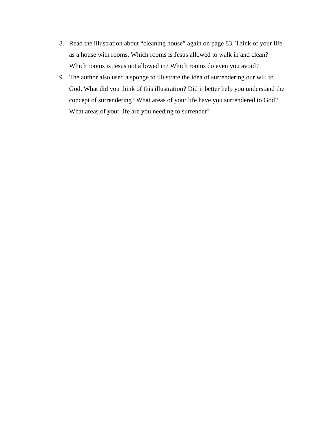- 8. Read the illustration about "cleaning house" again on page 83. Think of your life as a house with rooms. Which rooms is Jesus allowed to walk in and clean? Which rooms is Jesus not allowed in? Which rooms do even you avoid?
- 9. The author also used a sponge to illustrate the idea of surrendering our will to God. What did you think of this illustration? Did it better help you understand the concept of surrendering? What areas of your life have you surrendered to God? What areas of your life are you needing to surrender?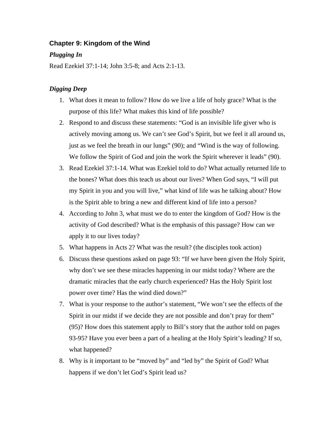## **Chapter 9: Kingdom of the Wind**

#### *Plugging In*

Read Ezekiel 37:1-14; John 3:5-8; and Acts 2:1-13.

- 1. What does it mean to follow? How do we live a life of holy grace? What is the purpose of this life? What makes this kind of life possible?
- 2. Respond to and discuss these statements: "God is an invisible life giver who is actively moving among us. We can't see God's Spirit, but we feel it all around us, just as we feel the breath in our lungs" (90); and "Wind is the way of following. We follow the Spirit of God and join the work the Spirit wherever it leads" (90).
- 3. Read Ezekiel 37:1-14. What was Ezekiel told to do? What actually returned life to the bones? What does this teach us about our lives? When God says, "I will put my Spirit in you and you will live," what kind of life was he talking about? How is the Spirit able to bring a new and different kind of life into a person?
- 4. According to John 3, what must we do to enter the kingdom of God? How is the activity of God described? What is the emphasis of this passage? How can we apply it to our lives today?
- 5. What happens in Acts 2? What was the result? (the disciples took action)
- 6. Discuss these questions asked on page 93: "If we have been given the Holy Spirit, why don't we see these miracles happening in our midst today? Where are the dramatic miracles that the early church experienced? Has the Holy Spirit lost power over time? Has the wind died down?"
- 7. What is your response to the author's statement, "We won't see the effects of the Spirit in our midst if we decide they are not possible and don't pray for them" (95)? How does this statement apply to Bill's story that the author told on pages 93-95? Have you ever been a part of a healing at the Holy Spirit's leading? If so, what happened?
- 8. Why is it important to be "moved by" and "led by" the Spirit of God? What happens if we don't let God's Spirit lead us?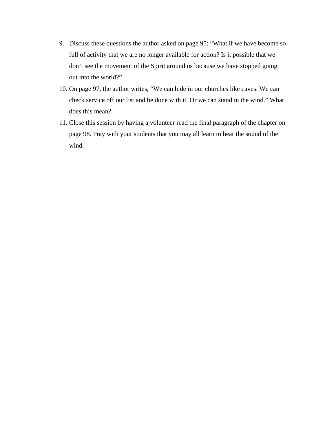- 9. Discuss these questions the author asked on page 95: "What if we have become so full of activity that we are no longer available for action? Is it possible that we don't see the movement of the Spirit around us because we have stopped going out into the world?"
- 10. On page 97, the author writes, "We can hide in our churches like caves. We can check service off our list and be done with it. Or we can stand in the wind." What does this mean?
- 11. Close this session by having a volunteer read the final paragraph of the chapter on page 98. Pray with your students that you may all learn to hear the sound of the wind.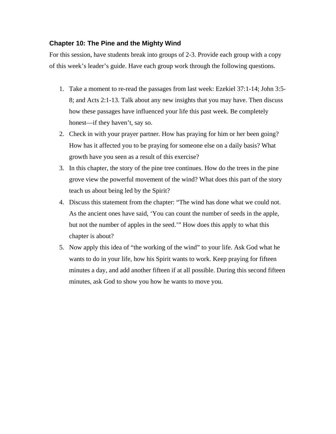## **Chapter 10: The Pine and the Mighty Wind**

For this session, have students break into groups of 2-3. Provide each group with a copy of this week's leader's guide. Have each group work through the following questions.

- 1. Take a moment to re-read the passages from last week: Ezekiel 37:1-14; John 3:5- 8; and Acts 2:1-13. Talk about any new insights that you may have. Then discuss how these passages have influenced your life this past week. Be completely honest—if they haven't, say so.
- 2. Check in with your prayer partner. How has praying for him or her been going? How has it affected you to be praying for someone else on a daily basis? What growth have you seen as a result of this exercise?
- 3. In this chapter, the story of the pine tree continues. How do the trees in the pine grove view the powerful movement of the wind? What does this part of the story teach us about being led by the Spirit?
- 4. Discuss this statement from the chapter: "The wind has done what we could not. As the ancient ones have said, 'You can count the number of seeds in the apple, but not the number of apples in the seed.'" How does this apply to what this chapter is about?
- 5. Now apply this idea of "the working of the wind" to your life. Ask God what he wants to do in your life, how his Spirit wants to work. Keep praying for fifteen minutes a day, and add another fifteen if at all possible. During this second fifteen minutes, ask God to show you how he wants to move you.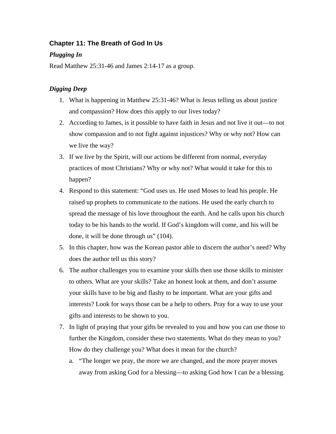## **Chapter 11: The Breath of God In Us**

## *Plugging In*

Read Matthew 25:31-46 and James 2:14-17 as a group.

- 1. What is happening in Matthew 25:31-46? What is Jesus telling us about justice and compassion? How does this apply to our lives today?
- 2. According to James, is it possible to have faith in Jesus and not live it out—to not show compassion and to not fight against injustices? Why or why not? How can we live the way?
- 3. If we live by the Spirit, will our actions be different from normal, everyday practices of most Christians? Why or why not? What would it take for this to happen?
- 4. Respond to this statement: "God uses us. He used Moses to lead his people. He raised up prophets to communicate to the nations. He used the early church to spread the message of his love throughout the earth. And he calls upon his church today to be his hands to the world. If God's kingdom will come, and his will be done, it will be done through us" (104).
- 5. In this chapter, how was the Korean pastor able to discern the author's need? Why does the author tell us this story?
- 6. The author challenges you to examine your skills then use those skills to minister to others. What are your skills? Take an honest look at them, and don't assume your skills have to be big and flashy to be important. What are your gifts and interests? Look for ways those can be a help to others. Pray for a way to use your gifts and interests to be shown to you.
- 7. In light of praying that your gifts be revealed to you and how you can use those to further the Kingdom, consider these two statements. What do they mean to you? How do they challenge you? What does it mean for the church?
	- a. "The longer we pray, the more we are changed, and the more prayer moves away from asking God for a blessing—to asking God how I can *be* a blessing.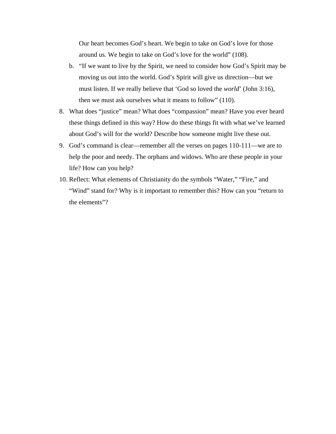Our heart becomes God's heart. We begin to take on God's love for those around us. We begin to take on God's love for the world" (108).

- b. "If we want to live by the Spirit, we need to consider how God's Spirit may be moving us out into the world. God's Spirit will give us direction—but we must listen. If we really believe that 'God so loved the *world*' (John 3:16), then we must ask ourselves what it means to follow" (110).
- 8. What does "justice" mean? What does "compassion" mean? Have you ever heard these things defined in this way? How do these things fit with what we've learned about God's will for the world? Describe how someone might live these out.
- 9. God's command is clear—remember all the verses on pages 110-111—we are to help the poor and needy. The orphans and widows. Who are these people in your life? How can you help?
- 10. Reflect: What elements of Christianity do the symbols "Water," "Fire," and "Wind" stand for? Why is it important to remember this? How can you "return to the elements"?